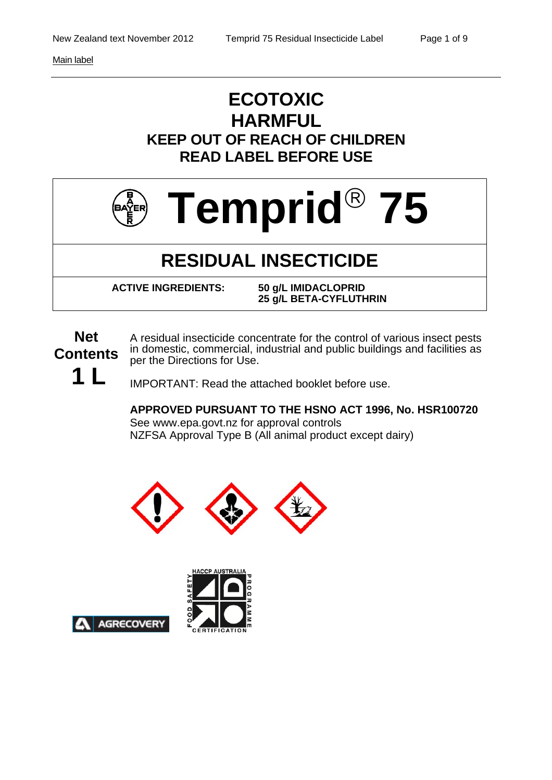Main label

## **ECOTOXIC HARMFUL KEEP OUT OF REACH OF CHILDREN READ LABEL BEFORE USE**



# **RESIDUAL INSECTICIDE**

 **ACTIVE INGREDIENTS: 50 g/L IMIDACLOPRID 25 g/L BETA-CYFLUTHRIN** 

**Net Contents 1 L**  A residual insecticide concentrate for the control of various insect pests in domestic, commercial, industrial and public buildings and facilities as per the Directions for Use.

IMPORTANT: Read the attached booklet before use.

**APPROVED PURSUANT TO THE HSNO ACT 1996, No. HSR100720**  See www.epa.govt.nz for approval controls NZFSA Approval Type B (All animal product except dairy)





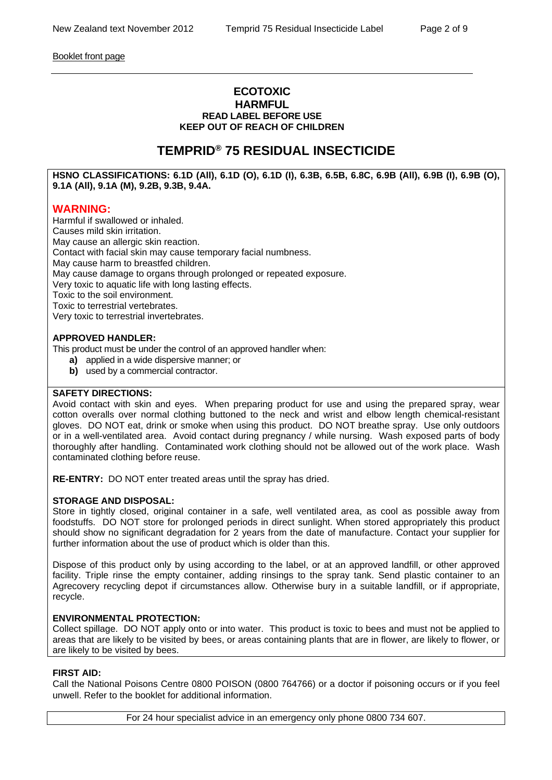Booklet front page

#### **ECOTOXIC HARMFUL READ LABEL BEFORE USE KEEP OUT OF REACH OF CHILDREN**

### **TEMPRID® 75 RESIDUAL INSECTICIDE**

**HSNO CLASSIFICATIONS: 6.1D (All), 6.1D (O), 6.1D (I), 6.3B, 6.5B, 6.8C, 6.9B (All), 6.9B (I), 6.9B (O), 9.1A (All), 9.1A (M), 9.2B, 9.3B, 9.4A.**

#### **WARNING:**

Harmful if swallowed or inhaled. Causes mild skin irritation. May cause an allergic skin reaction. Contact with facial skin may cause temporary facial numbness. May cause harm to breastfed children. May cause damage to organs through prolonged or repeated exposure. Very toxic to aquatic life with long lasting effects. Toxic to the soil environment. Toxic to terrestrial vertebrates. Very toxic to terrestrial invertebrates.

#### **APPROVED HANDLER:**

This product must be under the control of an approved handler when:

- **a)** applied in a wide dispersive manner; or
- **b)** used by a commercial contractor.

#### **SAFETY DIRECTIONS:**

Avoid contact with skin and eyes. When preparing product for use and using the prepared spray, wear cotton overalls over normal clothing buttoned to the neck and wrist and elbow length chemical-resistant gloves. DO NOT eat, drink or smoke when using this product. DO NOT breathe spray. Use only outdoors or in a well-ventilated area. Avoid contact during pregnancy / while nursing. Wash exposed parts of body thoroughly after handling. Contaminated work clothing should not be allowed out of the work place. Wash contaminated clothing before reuse.

**RE-ENTRY:** DO NOT enter treated areas until the spray has dried.

#### **STORAGE AND DISPOSAL:**

Store in tightly closed, original container in a safe, well ventilated area, as cool as possible away from foodstuffs. DO NOT store for prolonged periods in direct sunlight. When stored appropriately this product should show no significant degradation for 2 years from the date of manufacture. Contact your supplier for further information about the use of product which is older than this.

Dispose of this product only by using according to the label, or at an approved landfill, or other approved facility. Triple rinse the empty container, adding rinsings to the spray tank. Send plastic container to an Agrecovery recycling depot if circumstances allow. Otherwise bury in a suitable landfill, or if appropriate, recycle.

#### **ENVIRONMENTAL PROTECTION:**

Collect spillage. DO NOT apply onto or into water. This product is toxic to bees and must not be applied to areas that are likely to be visited by bees, or areas containing plants that are in flower, are likely to flower, or are likely to be visited by bees.

#### **FIRST AID:**

Call the National Poisons Centre 0800 POISON (0800 764766) or a doctor if poisoning occurs or if you feel unwell. Refer to the booklet for additional information.

For 24 hour specialist advice in an emergency only phone 0800 734 607.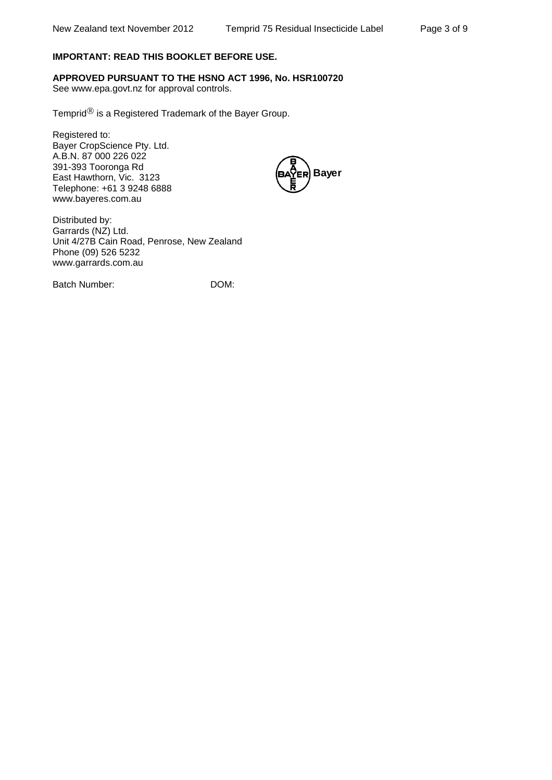#### **IMPORTANT: READ THIS BOOKLET BEFORE USE.**

**APPROVED PURSUANT TO THE HSNO ACT 1996, No. HSR100720** 

See www.epa.govt.nz for approval controls.

Temprid $^{\circledR}$  is a Registered Trademark of the Bayer Group.

Registered to: Bayer CropScience Pty. Ltd. A.B.N. 87 000 226 022 391-393 Tooronga Rd East Hawthorn, Vic. 3123 Telephone: +61 3 9248 6888 www.bayeres.com.au



Distributed by: Garrards (NZ) Ltd. Unit 4/27B Cain Road, Penrose, New Zealand Phone (09) 526 5232 www.garrards.com.au

Batch Number: DOM: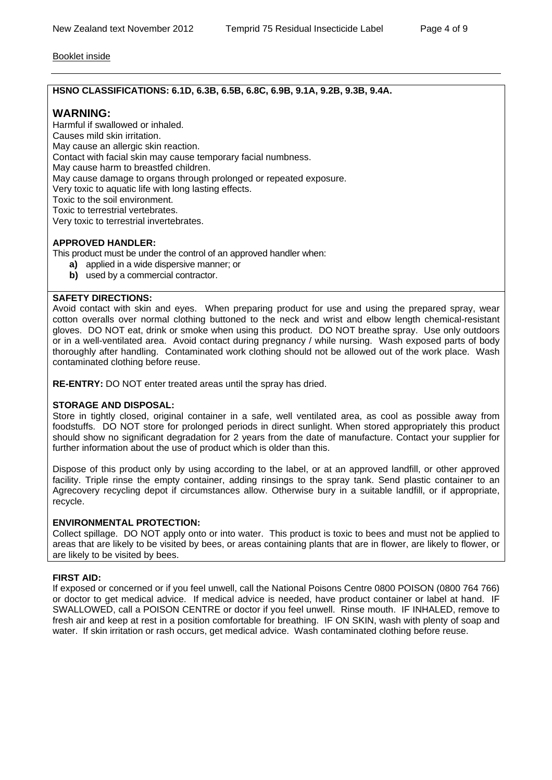#### Booklet inside

#### **HSNO CLASSIFICATIONS: 6.1D, 6.3B, 6.5B, 6.8C, 6.9B, 9.1A, 9.2B, 9.3B, 9.4A.**

#### **WARNING:**

Harmful if swallowed or inhaled. Causes mild skin irritation. May cause an allergic skin reaction. Contact with facial skin may cause temporary facial numbness. May cause harm to breastfed children. May cause damage to organs through prolonged or repeated exposure. Very toxic to aquatic life with long lasting effects. Toxic to the soil environment. Toxic to terrestrial vertebrates. Very toxic to terrestrial invertebrates.

#### **APPROVED HANDLER:**

This product must be under the control of an approved handler when:

- **a)** applied in a wide dispersive manner; or
- **b)** used by a commercial contractor.

#### **SAFETY DIRECTIONS:**

Avoid contact with skin and eyes. When preparing product for use and using the prepared spray, wear cotton overalls over normal clothing buttoned to the neck and wrist and elbow length chemical-resistant gloves. DO NOT eat, drink or smoke when using this product. DO NOT breathe spray. Use only outdoors or in a well-ventilated area. Avoid contact during pregnancy / while nursing. Wash exposed parts of body thoroughly after handling. Contaminated work clothing should not be allowed out of the work place. Wash contaminated clothing before reuse.

**RE-ENTRY:** DO NOT enter treated areas until the spray has dried.

#### **STORAGE AND DISPOSAL:**

Store in tightly closed, original container in a safe, well ventilated area, as cool as possible away from foodstuffs. DO NOT store for prolonged periods in direct sunlight. When stored appropriately this product should show no significant degradation for 2 years from the date of manufacture. Contact your supplier for further information about the use of product which is older than this.

Dispose of this product only by using according to the label, or at an approved landfill, or other approved facility. Triple rinse the empty container, adding rinsings to the spray tank. Send plastic container to an Agrecovery recycling depot if circumstances allow. Otherwise bury in a suitable landfill, or if appropriate, recycle.

#### **ENVIRONMENTAL PROTECTION:**

Collect spillage. DO NOT apply onto or into water. This product is toxic to bees and must not be applied to areas that are likely to be visited by bees, or areas containing plants that are in flower, are likely to flower, or are likely to be visited by bees.

#### **FIRST AID:**

If exposed or concerned or if you feel unwell, call the National Poisons Centre 0800 POISON (0800 764 766) or doctor to get medical advice. If medical advice is needed, have product container or label at hand. IF SWALLOWED, call a POISON CENTRE or doctor if you feel unwell. Rinse mouth. IF INHALED, remove to fresh air and keep at rest in a position comfortable for breathing. IF ON SKIN, wash with plenty of soap and water. If skin irritation or rash occurs, get medical advice. Wash contaminated clothing before reuse.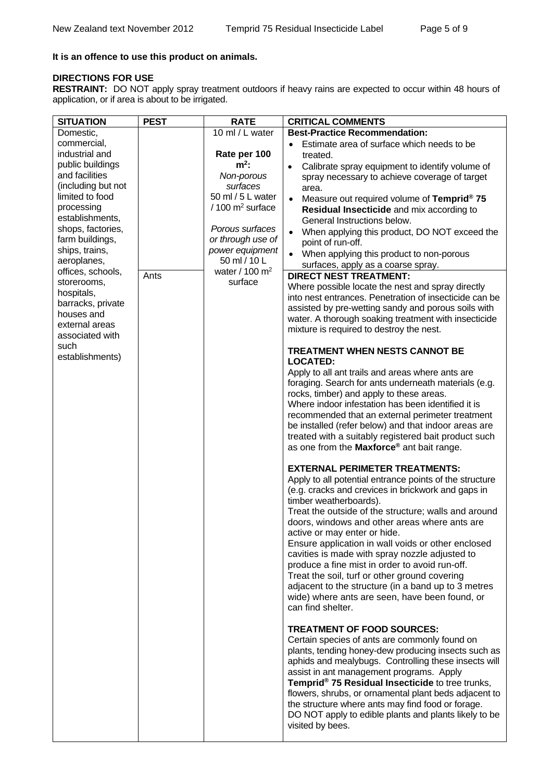#### **It is an offence to use this product on animals.**

#### **DIRECTIONS FOR USE**

**RESTRAINT:** DO NOT apply spray treatment outdoors if heavy rains are expected to occur within 48 hours of application, or if area is about to be irrigated.

| <b>SITUATION</b>                      | <b>PEST</b> | <b>RATE</b>                   | <b>CRITICAL COMMENTS</b>                                                                        |
|---------------------------------------|-------------|-------------------------------|-------------------------------------------------------------------------------------------------|
| Domestic,                             |             | 10 ml / L water               | <b>Best-Practice Recommendation:</b>                                                            |
| commercial,                           |             |                               | Estimate area of surface which needs to be                                                      |
| industrial and                        |             | Rate per 100                  | treated.                                                                                        |
| public buildings                      |             | $m^2$ :                       | Calibrate spray equipment to identify volume of<br>$\bullet$                                    |
| and facilities                        |             | Non-porous                    | spray necessary to achieve coverage of target                                                   |
| (including but not<br>limited to food |             | surfaces<br>50 ml / 5 L water | area.                                                                                           |
| processing                            |             | $/100$ m <sup>2</sup> surface | Measure out required volume of Temprid <sup>®</sup> 75<br>$\bullet$                             |
| establishments,                       |             |                               | Residual Insecticide and mix according to                                                       |
| shops, factories,                     |             | Porous surfaces               | General Instructions below.                                                                     |
| farm buildings,                       |             | or through use of             | When applying this product, DO NOT exceed the<br>$\bullet$<br>point of run-off.                 |
| ships, trains,                        |             | power equipment               | When applying this product to non-porous<br>$\bullet$                                           |
| aeroplanes,                           |             | 50 ml / 10 L                  | surfaces, apply as a coarse spray.                                                              |
| offices, schools,                     | Ants        | water / 100 $m2$              | <b>DIRECT NEST TREATMENT:</b>                                                                   |
| storerooms,                           |             | surface                       | Where possible locate the nest and spray directly                                               |
| hospitals,                            |             |                               | into nest entrances. Penetration of insecticide can be                                          |
| barracks, private<br>houses and       |             |                               | assisted by pre-wetting sandy and porous soils with                                             |
| external areas                        |             |                               | water. A thorough soaking treatment with insecticide                                            |
| associated with                       |             |                               | mixture is required to destroy the nest.                                                        |
| such                                  |             |                               |                                                                                                 |
| establishments)                       |             |                               | <b>TREATMENT WHEN NESTS CANNOT BE</b><br><b>LOCATED:</b>                                        |
|                                       |             |                               | Apply to all ant trails and areas where ants are                                                |
|                                       |             |                               | foraging. Search for ants underneath materials (e.g.                                            |
|                                       |             |                               | rocks, timber) and apply to these areas.                                                        |
|                                       |             |                               | Where indoor infestation has been identified it is                                              |
|                                       |             |                               | recommended that an external perimeter treatment                                                |
|                                       |             |                               | be installed (refer below) and that indoor areas are                                            |
|                                       |             |                               | treated with a suitably registered bait product such                                            |
|                                       |             |                               | as one from the Maxforce <sup>®</sup> ant bait range.                                           |
|                                       |             |                               | <b>EXTERNAL PERIMETER TREATMENTS:</b>                                                           |
|                                       |             |                               | Apply to all potential entrance points of the structure                                         |
|                                       |             |                               | (e.g. cracks and crevices in brickwork and gaps in                                              |
|                                       |             |                               | timber weatherboards).                                                                          |
|                                       |             |                               | Treat the outside of the structure; walls and around                                            |
|                                       |             |                               | doors, windows and other areas where ants are                                                   |
|                                       |             |                               | active or may enter or hide.                                                                    |
|                                       |             |                               | Ensure application in wall voids or other enclosed                                              |
|                                       |             |                               | cavities is made with spray nozzle adjusted to                                                  |
|                                       |             |                               | produce a fine mist in order to avoid run-off.<br>Treat the soil, turf or other ground covering |
|                                       |             |                               | adjacent to the structure (in a band up to 3 metres                                             |
|                                       |             |                               | wide) where ants are seen, have been found, or                                                  |
|                                       |             |                               | can find shelter.                                                                               |
|                                       |             |                               |                                                                                                 |
|                                       |             |                               | <b>TREATMENT OF FOOD SOURCES:</b><br>Certain species of ants are commonly found on              |
|                                       |             |                               | plants, tending honey-dew producing insects such as                                             |
|                                       |             |                               | aphids and mealybugs. Controlling these insects will                                            |
|                                       |             |                               | assist in ant management programs. Apply                                                        |
|                                       |             |                               | Temprid® 75 Residual Insecticide to tree trunks,                                                |
|                                       |             |                               | flowers, shrubs, or ornamental plant beds adjacent to                                           |
|                                       |             |                               | the structure where ants may find food or forage.                                               |
|                                       |             |                               | DO NOT apply to edible plants and plants likely to be                                           |
|                                       |             |                               | visited by bees.                                                                                |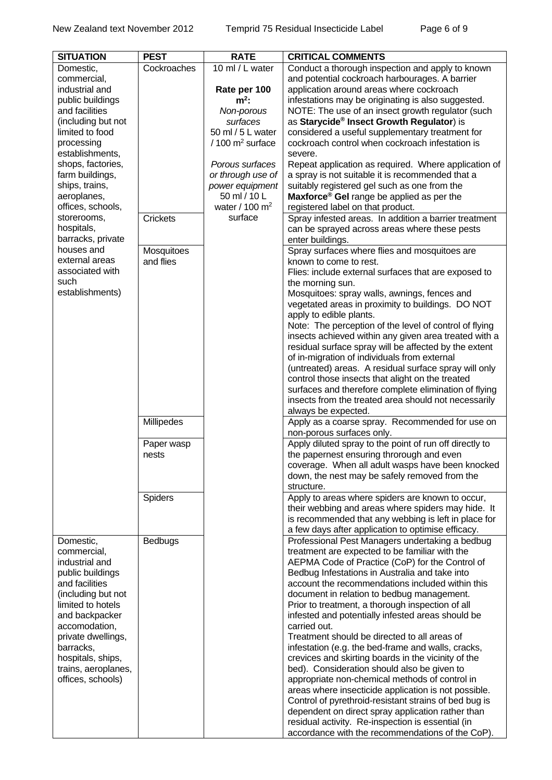| <b>SITUATION</b>    | <b>PEST</b>     | <b>RATE</b>                   | <b>CRITICAL COMMENTS</b>                                |
|---------------------|-----------------|-------------------------------|---------------------------------------------------------|
| Domestic,           | Cockroaches     | $10$ ml / L water             | Conduct a thorough inspection and apply to known        |
| commercial,         |                 |                               | and potential cockroach harbourages. A barrier          |
| industrial and      |                 | Rate per 100                  | application around areas where cockroach                |
| public buildings    |                 | $m^2$ :                       | infestations may be originating is also suggested.      |
| and facilities      |                 | Non-porous                    | NOTE: The use of an insect growth regulator (such       |
| (including but not  |                 | surfaces                      | as Starycide <sup>®</sup> Insect Growth Regulator) is   |
| limited to food     |                 | 50 ml / 5 L water             | considered a useful supplementary treatment for         |
| processing          |                 | $/100$ m <sup>2</sup> surface | cockroach control when cockroach infestation is         |
| establishments,     |                 |                               | severe.                                                 |
| shops, factories,   |                 | Porous surfaces               | Repeat application as required. Where application of    |
| farm buildings,     |                 | or through use of             | a spray is not suitable it is recommended that a        |
| ships, trains,      |                 | power equipment               | suitably registered gel such as one from the            |
| aeroplanes,         |                 | 50 ml / 10 L                  | Maxforce <sup>®</sup> Gel range be applied as per the   |
| offices, schools,   |                 | water / 100 $m2$              | registered label on that product.                       |
| storerooms,         | <b>Crickets</b> | surface                       | Spray infested areas. In addition a barrier treatment   |
| hospitals,          |                 |                               | can be sprayed across areas where these pests           |
| barracks, private   |                 |                               | enter buildings.                                        |
| houses and          | Mosquitoes      |                               | Spray surfaces where flies and mosquitoes are           |
| external areas      | and flies       |                               | known to come to rest.                                  |
| associated with     |                 |                               | Flies: include external surfaces that are exposed to    |
| such                |                 |                               | the morning sun.                                        |
| establishments)     |                 |                               | Mosquitoes: spray walls, awnings, fences and            |
|                     |                 |                               | vegetated areas in proximity to buildings. DO NOT       |
|                     |                 |                               | apply to edible plants.                                 |
|                     |                 |                               | Note: The perception of the level of control of flying  |
|                     |                 |                               | insects achieved within any given area treated with a   |
|                     |                 |                               | residual surface spray will be affected by the extent   |
|                     |                 |                               | of in-migration of individuals from external            |
|                     |                 |                               | (untreated) areas. A residual surface spray will only   |
|                     |                 |                               | control those insects that alight on the treated        |
|                     |                 |                               | surfaces and therefore complete elimination of flying   |
|                     |                 |                               | insects from the treated area should not necessarily    |
|                     |                 |                               | always be expected.                                     |
|                     | Millipedes      |                               | Apply as a coarse spray. Recommended for use on         |
|                     |                 |                               | non-porous surfaces only.                               |
|                     | Paper wasp      |                               | Apply diluted spray to the point of run off directly to |
|                     | nests           |                               | the papernest ensuring throrough and even               |
|                     |                 |                               | coverage. When all adult wasps have been knocked        |
|                     |                 |                               | down, the nest may be safely removed from the           |
|                     |                 |                               | structure.                                              |
|                     | <b>Spiders</b>  |                               | Apply to areas where spiders are known to occur,        |
|                     |                 |                               | their webbing and areas where spiders may hide. It      |
|                     |                 |                               | is recommended that any webbing is left in place for    |
|                     |                 |                               | a few days after application to optimise efficacy.      |
| Domestic,           | <b>Bedbugs</b>  |                               | Professional Pest Managers undertaking a bedbug         |
| commercial,         |                 |                               | treatment are expected to be familiar with the          |
| industrial and      |                 |                               | AEPMA Code of Practice (CoP) for the Control of         |
| public buildings    |                 |                               | Bedbug Infestations in Australia and take into          |
| and facilities      |                 |                               | account the recommendations included within this        |
| (including but not  |                 |                               | document in relation to bedbug management.              |
| limited to hotels   |                 |                               | Prior to treatment, a thorough inspection of all        |
| and backpacker      |                 |                               | infested and potentially infested areas should be       |
| accomodation,       |                 |                               | carried out.                                            |
| private dwellings,  |                 |                               | Treatment should be directed to all areas of            |
| barracks,           |                 |                               | infestation (e.g. the bed-frame and walls, cracks,      |
| hospitals, ships,   |                 |                               | crevices and skirting boards in the vicinity of the     |
| trains, aeroplanes, |                 |                               | bed). Consideration should also be given to             |
| offices, schools)   |                 |                               | appropriate non-chemical methods of control in          |
|                     |                 |                               | areas where insecticide application is not possible.    |
|                     |                 |                               | Control of pyrethroid-resistant strains of bed bug is   |
|                     |                 |                               | dependent on direct spray application rather than       |
|                     |                 |                               | residual activity. Re-inspection is essential (in       |
|                     |                 |                               | accordance with the recommendations of the CoP).        |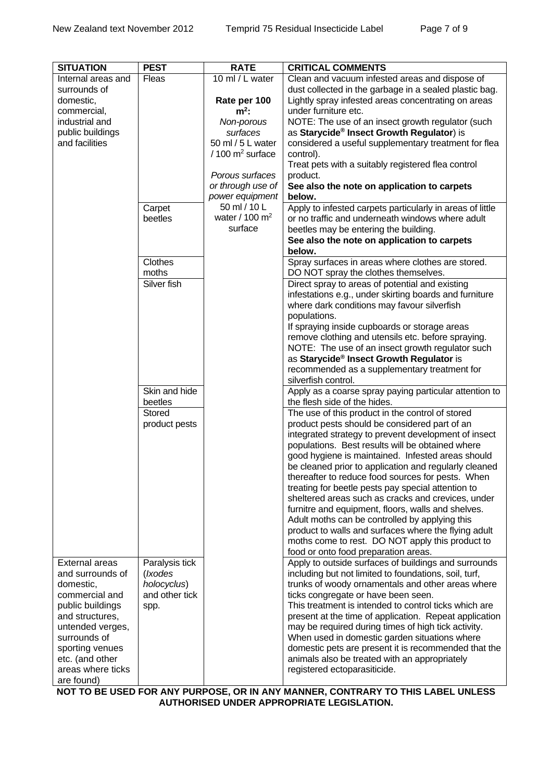| <b>SITUATION</b>                   | <b>PEST</b>     | <b>RATE</b>                      | <b>CRITICAL COMMENTS</b>                                                                                 |
|------------------------------------|-----------------|----------------------------------|----------------------------------------------------------------------------------------------------------|
| Internal areas and                 | Fleas           | $\overline{10}$ ml / L water     | Clean and vacuum infested areas and dispose of                                                           |
| surrounds of                       |                 |                                  | dust collected in the garbage in a sealed plastic bag.                                                   |
| domestic,                          |                 | Rate per 100                     | Lightly spray infested areas concentrating on areas                                                      |
| commercial,<br>industrial and      |                 | $m^2$ :                          | under furniture etc.                                                                                     |
| public buildings                   |                 | Non-porous<br>surfaces           | NOTE: The use of an insect growth regulator (such<br>as Starycide® Insect Growth Regulator) is           |
| and facilities                     |                 | 50 ml / 5 L water                | considered a useful supplementary treatment for flea                                                     |
|                                    |                 | $/100$ m <sup>2</sup> surface    | control).                                                                                                |
|                                    |                 |                                  | Treat pets with a suitably registered flea control                                                       |
|                                    |                 | Porous surfaces                  | product.                                                                                                 |
|                                    |                 | or through use of                | See also the note on application to carpets                                                              |
|                                    |                 | power equipment                  | below.                                                                                                   |
|                                    | Carpet          | 50 ml / 10 L<br>water / 100 $m2$ | Apply to infested carpets particularly in areas of little                                                |
|                                    | beetles         | surface                          | or no traffic and underneath windows where adult<br>beetles may be entering the building.                |
|                                    |                 |                                  | See also the note on application to carpets                                                              |
|                                    |                 |                                  | below.                                                                                                   |
|                                    | <b>Clothes</b>  |                                  | Spray surfaces in areas where clothes are stored.                                                        |
|                                    | moths           |                                  | DO NOT spray the clothes themselves.                                                                     |
|                                    | Silver fish     |                                  | Direct spray to areas of potential and existing                                                          |
|                                    |                 |                                  | infestations e.g., under skirting boards and furniture                                                   |
|                                    |                 |                                  | where dark conditions may favour silverfish                                                              |
|                                    |                 |                                  | populations.                                                                                             |
|                                    |                 |                                  | If spraying inside cupboards or storage areas                                                            |
|                                    |                 |                                  | remove clothing and utensils etc. before spraying.<br>NOTE: The use of an insect growth regulator such   |
|                                    |                 |                                  | as Starycide® Insect Growth Regulator is                                                                 |
|                                    |                 |                                  | recommended as a supplementary treatment for                                                             |
|                                    |                 |                                  | silverfish control.                                                                                      |
|                                    | Skin and hide   |                                  | Apply as a coarse spray paying particular attention to                                                   |
|                                    | beetles         |                                  | the flesh side of the hides.                                                                             |
|                                    | <b>Stored</b>   |                                  | The use of this product in the control of stored                                                         |
|                                    | product pests   |                                  | product pests should be considered part of an                                                            |
|                                    |                 |                                  | integrated strategy to prevent development of insect<br>populations. Best results will be obtained where |
|                                    |                 |                                  | good hygiene is maintained. Infested areas should                                                        |
|                                    |                 |                                  | be cleaned prior to application and regularly cleaned                                                    |
|                                    |                 |                                  | thereafter to reduce food sources for pests. When                                                        |
|                                    |                 |                                  | treating for beetle pests pay special attention to                                                       |
|                                    |                 |                                  | sheltered areas such as cracks and crevices, under                                                       |
|                                    |                 |                                  | furnitre and equipment, floors, walls and shelves.                                                       |
|                                    |                 |                                  | Adult moths can be controlled by applying this                                                           |
|                                    |                 |                                  | product to walls and surfaces where the flying adult<br>moths come to rest. DO NOT apply this product to |
|                                    |                 |                                  | food or onto food preparation areas.                                                                     |
| <b>External areas</b>              | Paralysis tick  |                                  | Apply to outside surfaces of buildings and surrounds                                                     |
| and surrounds of                   | ( <i>lxodes</i> |                                  | including but not limited to foundations, soil, turf,                                                    |
| domestic,                          | holocyclus)     |                                  | trunks of woody ornamentals and other areas where                                                        |
| commercial and                     | and other tick  |                                  | ticks congregate or have been seen.                                                                      |
| public buildings                   | spp.            |                                  | This treatment is intended to control ticks which are                                                    |
| and structures,                    |                 |                                  | present at the time of application. Repeat application                                                   |
| untended verges,                   |                 |                                  | may be required during times of high tick activity.                                                      |
| surrounds of                       |                 |                                  | When used in domestic garden situations where<br>domestic pets are present it is recommended that the    |
| sporting venues<br>etc. (and other |                 |                                  | animals also be treated with an appropriately                                                            |
| areas where ticks                  |                 |                                  | registered ectoparasiticide.                                                                             |
| are found)                         |                 |                                  |                                                                                                          |

**NOT TO BE USED FOR ANY PURPOSE, OR IN ANY MANNER, CONTRARY TO THIS LABEL UNLESS AUTHORISED UNDER APPROPRIATE LEGISLATION.**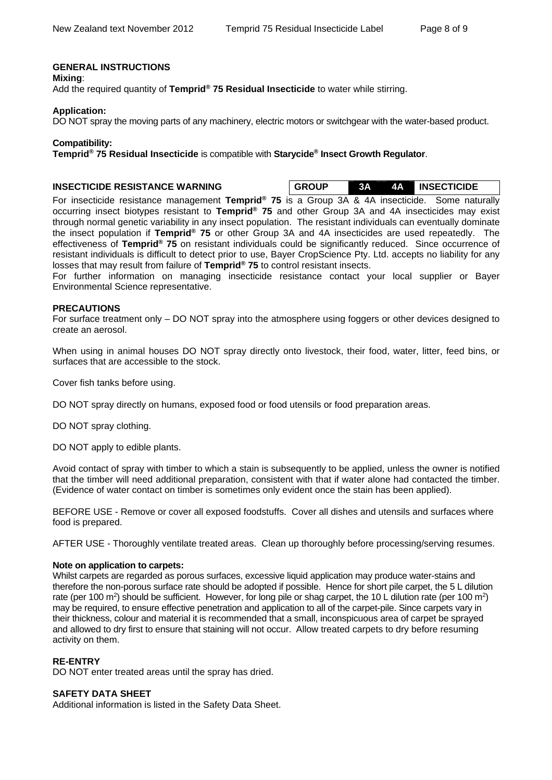#### **GENERAL INSTRUCTIONS**

**Mixing**:

Add the required quantity of **Temprid® 75 Residual Insecticide** to water while stirring.

#### **Application:**

DO NOT spray the moving parts of any machinery, electric motors or switchgear with the water-based product.

#### **Compatibility:**

**Temprid® 75 Residual Insecticide** is compatible with **Starycide® Insect Growth Regulator**.

**INSECTICIDE RESISTANCE WARNING GROUP 3A 4A INSECTICIDE** 

For insecticide resistance management **Temprid® 75** is a Group 3A & 4A insecticide. Some naturally occurring insect biotypes resistant to **Temprid® 75** and other Group 3A and 4A insecticides may exist through normal genetic variability in any insect population. The resistant individuals can eventually dominate the insect population if **Temprid® 75** or other Group 3A and 4A insecticides are used repeatedly. The effectiveness of **Temprid® 75** on resistant individuals could be significantly reduced. Since occurrence of resistant individuals is difficult to detect prior to use, Bayer CropScience Pty. Ltd. accepts no liability for any losses that may result from failure of **Temprid® 75** to control resistant insects.

For further information on managing insecticide resistance contact your local supplier or Bayer Environmental Science representative.

#### **PRECAUTIONS**

For surface treatment only – DO NOT spray into the atmosphere using foggers or other devices designed to create an aerosol.

When using in animal houses DO NOT spray directly onto livestock, their food, water, litter, feed bins, or surfaces that are accessible to the stock.

Cover fish tanks before using.

DO NOT spray directly on humans, exposed food or food utensils or food preparation areas.

DO NOT spray clothing.

DO NOT apply to edible plants.

Avoid contact of spray with timber to which a stain is subsequently to be applied, unless the owner is notified that the timber will need additional preparation, consistent with that if water alone had contacted the timber. (Evidence of water contact on timber is sometimes only evident once the stain has been applied).

BEFORE USE - Remove or cover all exposed foodstuffs. Cover all dishes and utensils and surfaces where food is prepared.

AFTER USE - Thoroughly ventilate treated areas. Clean up thoroughly before processing/serving resumes.

#### **Note on application to carpets:**

Whilst carpets are regarded as porous surfaces, excessive liquid application may produce water-stains and therefore the non-porous surface rate should be adopted if possible. Hence for short pile carpet, the 5 L dilution rate (per 100 m<sup>2</sup>) should be sufficient. However, for long pile or shag carpet, the 10 L dilution rate (per 100 m<sup>2</sup>) may be required, to ensure effective penetration and application to all of the carpet-pile. Since carpets vary in their thickness, colour and material it is recommended that a small, inconspicuous area of carpet be sprayed and allowed to dry first to ensure that staining will not occur. Allow treated carpets to dry before resuming activity on them.

#### **RE-ENTRY**

DO NOT enter treated areas until the spray has dried.

#### **SAFETY DATA SHEET**

Additional information is listed in the Safety Data Sheet.